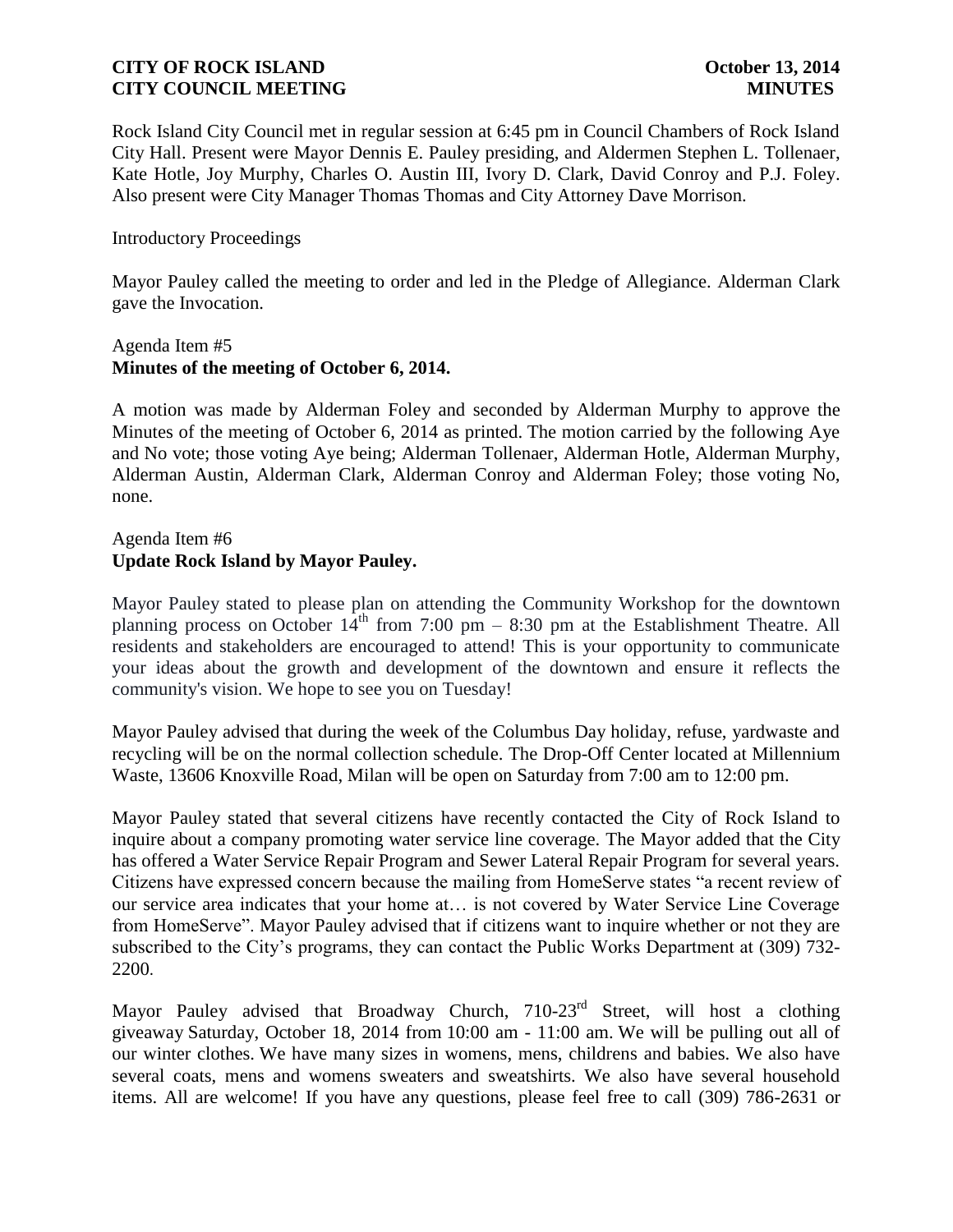Rock Island City Council met in regular session at 6:45 pm in Council Chambers of Rock Island City Hall. Present were Mayor Dennis E. Pauley presiding, and Aldermen Stephen L. Tollenaer, Kate Hotle, Joy Murphy, Charles O. Austin III, Ivory D. Clark, David Conroy and P.J. Foley. Also present were City Manager Thomas Thomas and City Attorney Dave Morrison.

### Introductory Proceedings

Mayor Pauley called the meeting to order and led in the Pledge of Allegiance. Alderman Clark gave the Invocation.

### Agenda Item #5 **Minutes of the meeting of October 6, 2014.**

A motion was made by Alderman Foley and seconded by Alderman Murphy to approve the Minutes of the meeting of October 6, 2014 as printed. The motion carried by the following Aye and No vote; those voting Aye being; Alderman Tollenaer, Alderman Hotle, Alderman Murphy, Alderman Austin, Alderman Clark, Alderman Conroy and Alderman Foley; those voting No, none.

# Agenda Item #6 **Update Rock Island by Mayor Pauley.**

Mayor Pauley stated to please plan on attending the Community Workshop for the downtown planning process on October  $14<sup>th</sup>$  from 7:00 pm – 8:30 pm at the Establishment Theatre. All residents and stakeholders are encouraged to attend! This is your opportunity to communicate your ideas about the growth and development of the downtown and ensure it reflects the community's vision. We hope to see you on Tuesday!

Mayor Pauley advised that during the week of the Columbus Day holiday, refuse, yardwaste and recycling will be on the normal collection schedule. The Drop-Off Center located at Millennium Waste, 13606 Knoxville Road, Milan will be open on Saturday from 7:00 am to 12:00 pm.

Mayor Pauley stated that several citizens have recently contacted the City of Rock Island to inquire about a company promoting water service line coverage. The Mayor added that the City has offered a Water Service Repair Program and Sewer Lateral Repair Program for several years. Citizens have expressed concern because the mailing from HomeServe states "a recent review of our service area indicates that your home at… is not covered by Water Service Line Coverage from HomeServe". Mayor Pauley advised that if citizens want to inquire whether or not they are subscribed to the City's programs, they can contact the Public Works Department at (309) 732- 2200.

Mayor Pauley advised that Broadway Church, 710-23<sup>rd</sup> Street, will host a clothing giveaway Saturday, October 18, 2014 from 10:00 am - 11:00 am. We will be pulling out all of our winter clothes. We have many sizes in womens, mens, childrens and babies. We also have several coats, mens and womens sweaters and sweatshirts. We also have several household items. All are welcome! If you have any questions, please feel free to call (309) 786-2631 or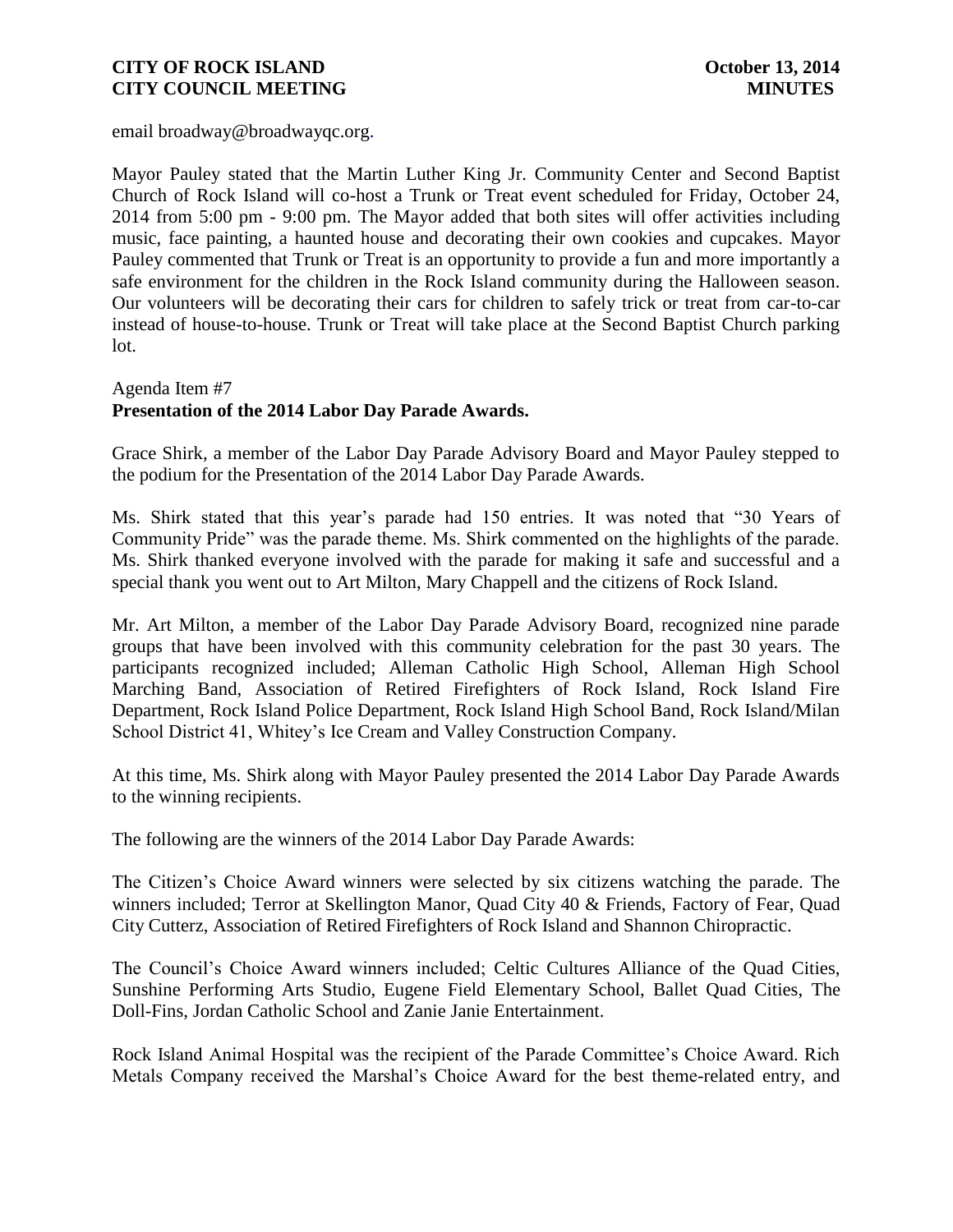email broadway@broadwayqc.org.

Mayor Pauley stated that the Martin Luther King Jr. Community Center and Second Baptist Church of Rock Island will co-host a Trunk or Treat event scheduled for Friday, October 24, 2014 from 5:00 pm - 9:00 pm. The Mayor added that both sites will offer activities including music, face painting, a haunted house and decorating their own cookies and cupcakes. Mayor Pauley commented that Trunk or Treat is an opportunity to provide a fun and more importantly a safe environment for the children in the Rock Island community during the Halloween season. Our volunteers will be decorating their cars for children to safely trick or treat from car-to-car instead of house-to-house. Trunk or Treat will take place at the Second Baptist Church parking lot.

# Agenda Item #7 **Presentation of the 2014 Labor Day Parade Awards.**

Grace Shirk, a member of the Labor Day Parade Advisory Board and Mayor Pauley stepped to the podium for the Presentation of the 2014 Labor Day Parade Awards.

Ms. Shirk stated that this year's parade had 150 entries. It was noted that "30 Years of Community Pride" was the parade theme. Ms. Shirk commented on the highlights of the parade. Ms. Shirk thanked everyone involved with the parade for making it safe and successful and a special thank you went out to Art Milton, Mary Chappell and the citizens of Rock Island.

Mr. Art Milton, a member of the Labor Day Parade Advisory Board, recognized nine parade groups that have been involved with this community celebration for the past 30 years. The participants recognized included; Alleman Catholic High School, Alleman High School Marching Band, Association of Retired Firefighters of Rock Island, Rock Island Fire Department, Rock Island Police Department, Rock Island High School Band, Rock Island/Milan School District 41, Whitey's Ice Cream and Valley Construction Company.

At this time, Ms. Shirk along with Mayor Pauley presented the 2014 Labor Day Parade Awards to the winning recipients.

The following are the winners of the 2014 Labor Day Parade Awards:

The Citizen's Choice Award winners were selected by six citizens watching the parade. The winners included; Terror at Skellington Manor, Quad City 40 & Friends, Factory of Fear, Quad City Cutterz, Association of Retired Firefighters of Rock Island and Shannon Chiropractic.

The Council's Choice Award winners included; Celtic Cultures Alliance of the Quad Cities, Sunshine Performing Arts Studio, Eugene Field Elementary School, Ballet Quad Cities, The Doll-Fins, Jordan Catholic School and Zanie Janie Entertainment.

Rock Island Animal Hospital was the recipient of the Parade Committee's Choice Award. Rich Metals Company received the Marshal's Choice Award for the best theme-related entry, and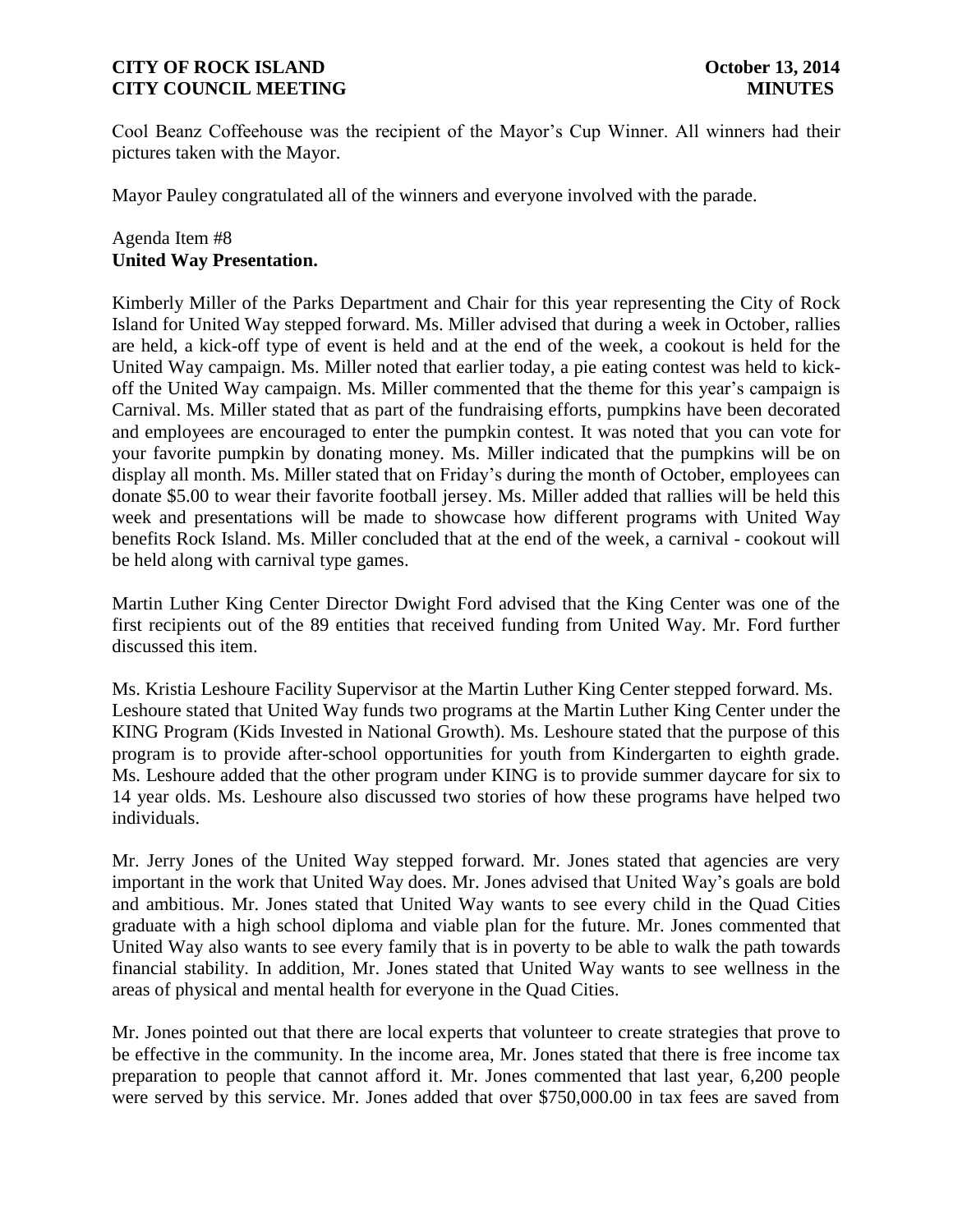Cool Beanz Coffeehouse was the recipient of the Mayor's Cup Winner. All winners had their pictures taken with the Mayor.

Mayor Pauley congratulated all of the winners and everyone involved with the parade.

# Agenda Item #8 **United Way Presentation.**

Kimberly Miller of the Parks Department and Chair for this year representing the City of Rock Island for United Way stepped forward. Ms. Miller advised that during a week in October, rallies are held, a kick-off type of event is held and at the end of the week, a cookout is held for the United Way campaign. Ms. Miller noted that earlier today, a pie eating contest was held to kickoff the United Way campaign. Ms. Miller commented that the theme for this year's campaign is Carnival. Ms. Miller stated that as part of the fundraising efforts, pumpkins have been decorated and employees are encouraged to enter the pumpkin contest. It was noted that you can vote for your favorite pumpkin by donating money. Ms. Miller indicated that the pumpkins will be on display all month. Ms. Miller stated that on Friday's during the month of October, employees can donate \$5.00 to wear their favorite football jersey. Ms. Miller added that rallies will be held this week and presentations will be made to showcase how different programs with United Way benefits Rock Island. Ms. Miller concluded that at the end of the week, a carnival - cookout will be held along with carnival type games.

Martin Luther King Center Director Dwight Ford advised that the King Center was one of the first recipients out of the 89 entities that received funding from United Way. Mr. Ford further discussed this item.

Ms. Kristia Leshoure Facility Supervisor at the Martin Luther King Center stepped forward. Ms. Leshoure stated that United Way funds two programs at the Martin Luther King Center under the KING Program (Kids Invested in National Growth). Ms. Leshoure stated that the purpose of this program is to provide after-school opportunities for youth from Kindergarten to eighth grade. Ms. Leshoure added that the other program under KING is to provide summer daycare for six to 14 year olds. Ms. Leshoure also discussed two stories of how these programs have helped two individuals.

Mr. Jerry Jones of the United Way stepped forward. Mr. Jones stated that agencies are very important in the work that United Way does. Mr. Jones advised that United Way's goals are bold and ambitious. Mr. Jones stated that United Way wants to see every child in the Quad Cities graduate with a high school diploma and viable plan for the future. Mr. Jones commented that United Way also wants to see every family that is in poverty to be able to walk the path towards financial stability. In addition, Mr. Jones stated that United Way wants to see wellness in the areas of physical and mental health for everyone in the Quad Cities.

Mr. Jones pointed out that there are local experts that volunteer to create strategies that prove to be effective in the community. In the income area, Mr. Jones stated that there is free income tax preparation to people that cannot afford it. Mr. Jones commented that last year, 6,200 people were served by this service. Mr. Jones added that over \$750,000.00 in tax fees are saved from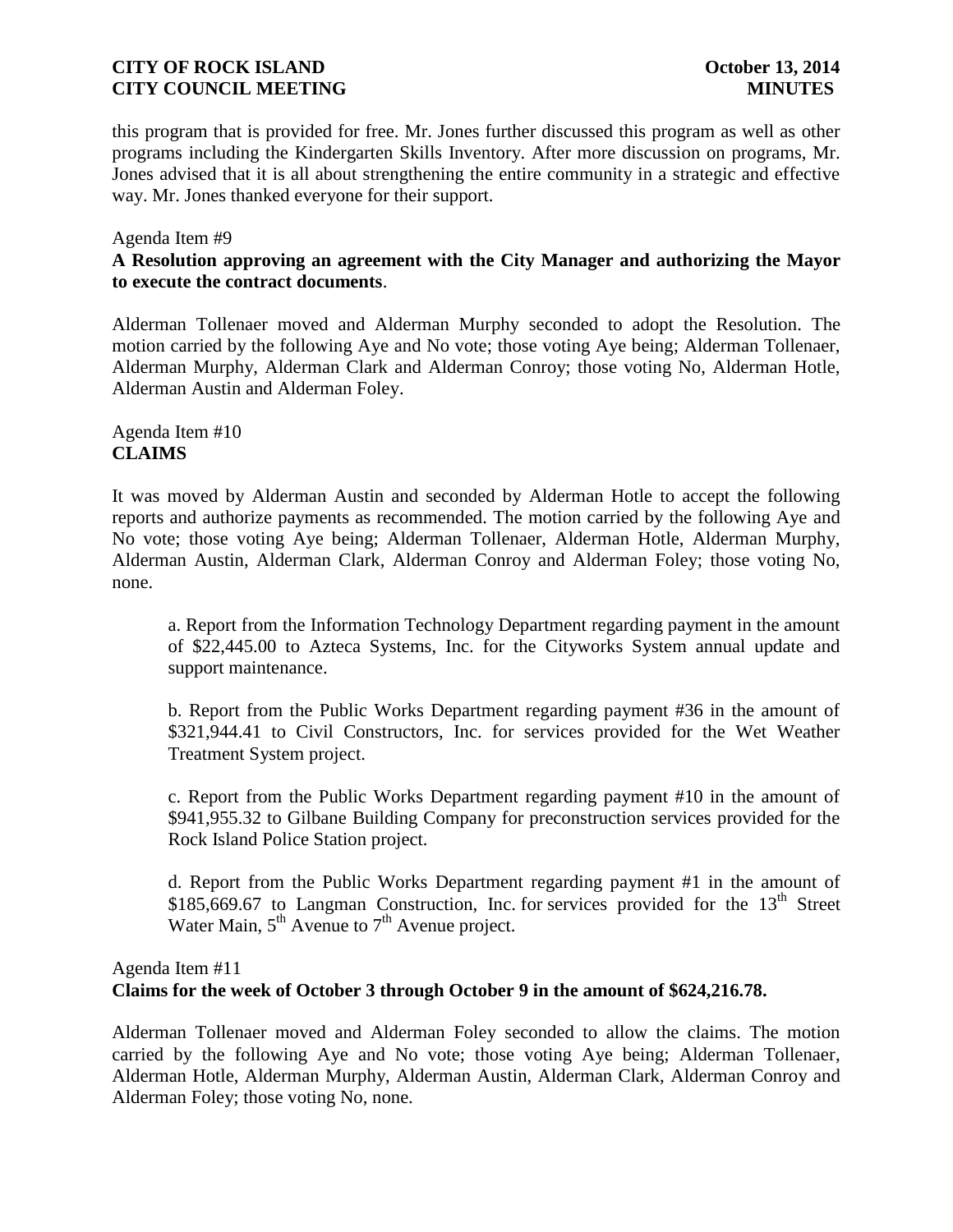this program that is provided for free. Mr. Jones further discussed this program as well as other programs including the Kindergarten Skills Inventory. After more discussion on programs, Mr. Jones advised that it is all about strengthening the entire community in a strategic and effective way. Mr. Jones thanked everyone for their support.

#### Agenda Item #9

# **A Resolution approving an agreement with the City Manager and authorizing the Mayor to execute the contract documents**.

Alderman Tollenaer moved and Alderman Murphy seconded to adopt the Resolution. The motion carried by the following Aye and No vote; those voting Aye being; Alderman Tollenaer, Alderman Murphy, Alderman Clark and Alderman Conroy; those voting No, Alderman Hotle, Alderman Austin and Alderman Foley.

Agenda Item #10 **CLAIMS**

It was moved by Alderman Austin and seconded by Alderman Hotle to accept the following reports and authorize payments as recommended. The motion carried by the following Aye and No vote; those voting Aye being; Alderman Tollenaer, Alderman Hotle, Alderman Murphy, Alderman Austin, Alderman Clark, Alderman Conroy and Alderman Foley; those voting No, none.

a. Report from the Information Technology Department regarding payment in the amount of \$22,445.00 to Azteca Systems, Inc. for the Cityworks System annual update and support maintenance.

b. Report from the Public Works Department regarding payment #36 in the amount of \$321,944.41 to Civil Constructors, Inc. for services provided for the Wet Weather Treatment System project.

c. Report from the Public Works Department regarding payment #10 in the amount of \$941,955.32 to Gilbane Building Company for preconstruction services provided for the Rock Island Police Station project.

d. Report from the Public Works Department regarding payment #1 in the amount of  $$185,669.67$  to Langman Construction, Inc. for services provided for the  $13<sup>th</sup>$  Street Water Main,  $5<sup>th</sup>$  Avenue to  $7<sup>th</sup>$  Avenue project.

### Agenda Item #11

### **Claims for the week of October 3 through October 9 in the amount of \$624,216.78.**

Alderman Tollenaer moved and Alderman Foley seconded to allow the claims. The motion carried by the following Aye and No vote; those voting Aye being; Alderman Tollenaer, Alderman Hotle, Alderman Murphy, Alderman Austin, Alderman Clark, Alderman Conroy and Alderman Foley; those voting No, none.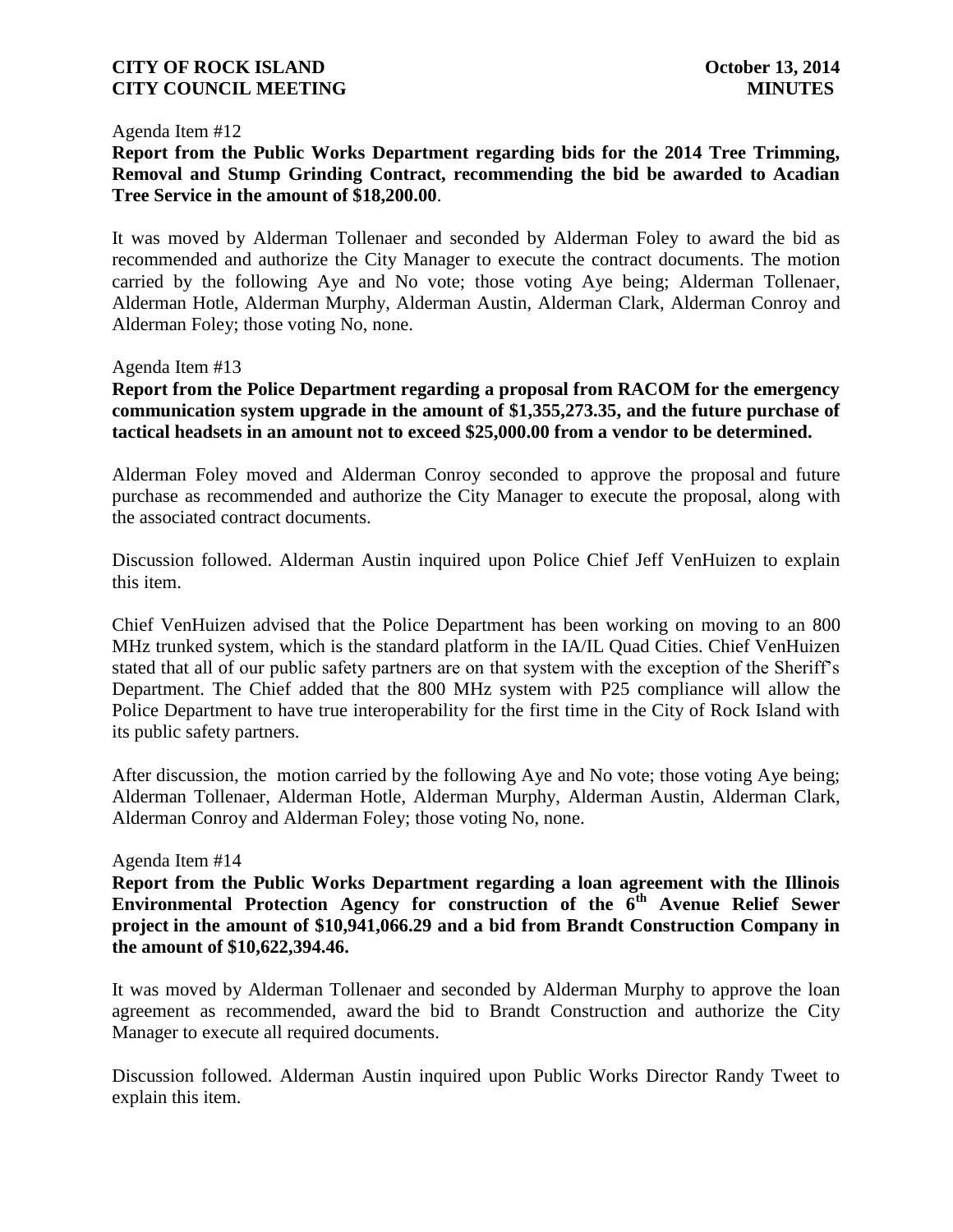#### Agenda Item #12

**Report from the Public Works Department regarding bids for the 2014 Tree Trimming, Removal and Stump Grinding Contract, recommending the bid be awarded to Acadian Tree Service in the amount of \$18,200.00**.

It was moved by Alderman Tollenaer and seconded by Alderman Foley to award the bid as recommended and authorize the City Manager to execute the contract documents. The motion carried by the following Aye and No vote; those voting Aye being; Alderman Tollenaer, Alderman Hotle, Alderman Murphy, Alderman Austin, Alderman Clark, Alderman Conroy and Alderman Foley; those voting No, none.

#### Agenda Item #13

**Report from the Police Department regarding a proposal from RACOM for the emergency communication system upgrade in the amount of \$1,355,273.35, and the future purchase of tactical headsets in an amount not to exceed \$25,000.00 from a vendor to be determined.** 

Alderman Foley moved and Alderman Conroy seconded to approve the proposal and future purchase as recommended and authorize the City Manager to execute the proposal, along with the associated contract documents.

Discussion followed. Alderman Austin inquired upon Police Chief Jeff VenHuizen to explain this item.

Chief VenHuizen advised that the Police Department has been working on moving to an 800 MHz trunked system, which is the standard platform in the IA/IL Quad Cities. Chief VenHuizen stated that all of our public safety partners are on that system with the exception of the Sheriff's Department. The Chief added that the 800 MHz system with P25 compliance will allow the Police Department to have true interoperability for the first time in the City of Rock Island with its public safety partners.

After discussion, the motion carried by the following Aye and No vote; those voting Aye being; Alderman Tollenaer, Alderman Hotle, Alderman Murphy, Alderman Austin, Alderman Clark, Alderman Conroy and Alderman Foley; those voting No, none.

#### Agenda Item #14

**Report from the Public Works Department regarding a loan agreement with the Illinois**  Environmental Protection Agency for construction of the 6<sup>th</sup> Avenue Relief Sewer **project in the amount of \$10,941,066.29 and a bid from Brandt Construction Company in the amount of \$10,622,394.46.**

It was moved by Alderman Tollenaer and seconded by Alderman Murphy to approve the loan agreement as recommended, award the bid to Brandt Construction and authorize the City Manager to execute all required documents.

Discussion followed. Alderman Austin inquired upon Public Works Director Randy Tweet to explain this item.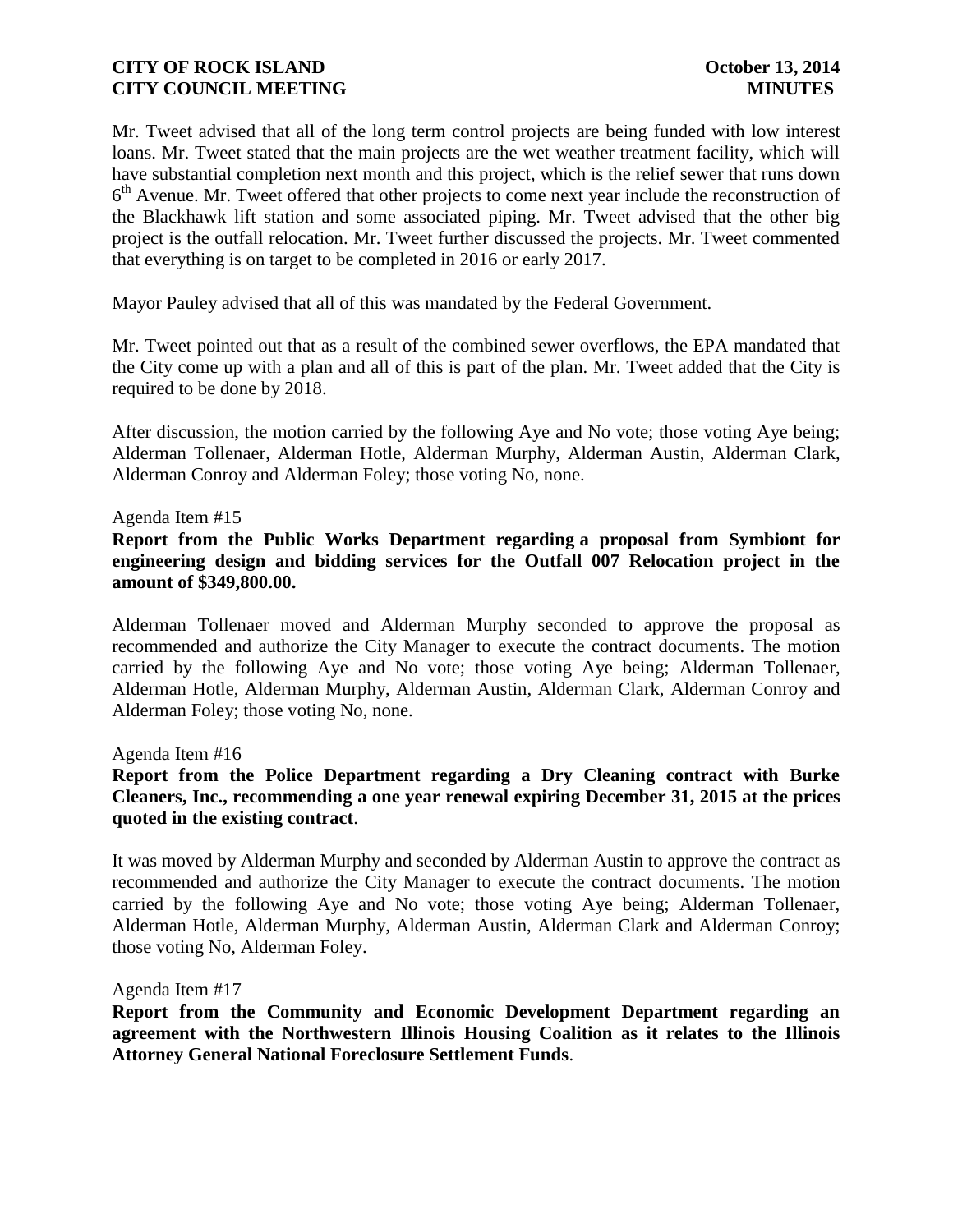Mr. Tweet advised that all of the long term control projects are being funded with low interest loans. Mr. Tweet stated that the main projects are the wet weather treatment facility, which will have substantial completion next month and this project, which is the relief sewer that runs down 6<sup>th</sup> Avenue. Mr. Tweet offered that other projects to come next year include the reconstruction of the Blackhawk lift station and some associated piping. Mr. Tweet advised that the other big project is the outfall relocation. Mr. Tweet further discussed the projects. Mr. Tweet commented that everything is on target to be completed in 2016 or early 2017.

Mayor Pauley advised that all of this was mandated by the Federal Government.

Mr. Tweet pointed out that as a result of the combined sewer overflows, the EPA mandated that the City come up with a plan and all of this is part of the plan. Mr. Tweet added that the City is required to be done by 2018.

After discussion, the motion carried by the following Aye and No vote; those voting Aye being; Alderman Tollenaer, Alderman Hotle, Alderman Murphy, Alderman Austin, Alderman Clark, Alderman Conroy and Alderman Foley; those voting No, none.

#### Agenda Item #15

**Report from the Public Works Department regarding a proposal from Symbiont for engineering design and bidding services for the Outfall 007 Relocation project in the amount of \$349,800.00.** 

Alderman Tollenaer moved and Alderman Murphy seconded to approve the proposal as recommended and authorize the City Manager to execute the contract documents. The motion carried by the following Aye and No vote; those voting Aye being; Alderman Tollenaer, Alderman Hotle, Alderman Murphy, Alderman Austin, Alderman Clark, Alderman Conroy and Alderman Foley; those voting No, none.

Agenda Item #16

**Report from the Police Department regarding a Dry Cleaning contract with Burke Cleaners, Inc., recommending a one year renewal expiring December 31, 2015 at the prices quoted in the existing contract**.

It was moved by Alderman Murphy and seconded by Alderman Austin to approve the contract as recommended and authorize the City Manager to execute the contract documents. The motion carried by the following Aye and No vote; those voting Aye being; Alderman Tollenaer, Alderman Hotle, Alderman Murphy, Alderman Austin, Alderman Clark and Alderman Conroy; those voting No, Alderman Foley.

Agenda Item #17

**Report from the Community and Economic Development Department regarding an agreement with the Northwestern Illinois Housing Coalition as it relates to the Illinois Attorney General National Foreclosure Settlement Funds**.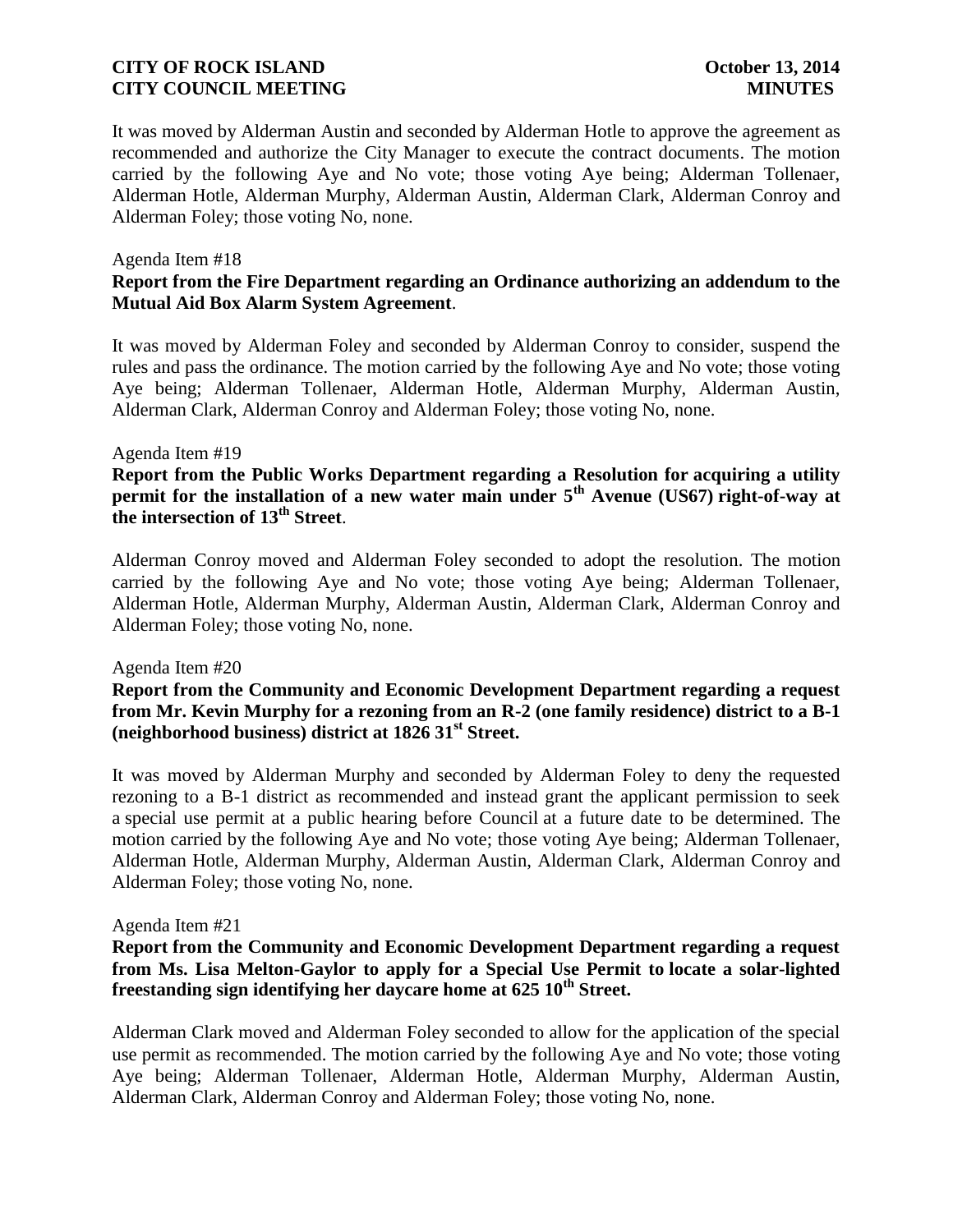It was moved by Alderman Austin and seconded by Alderman Hotle to approve the agreement as recommended and authorize the City Manager to execute the contract documents. The motion carried by the following Aye and No vote; those voting Aye being; Alderman Tollenaer, Alderman Hotle, Alderman Murphy, Alderman Austin, Alderman Clark, Alderman Conroy and Alderman Foley; those voting No, none.

#### Agenda Item #18

# **Report from the Fire Department regarding an Ordinance authorizing an addendum to the Mutual Aid Box Alarm System Agreement**.

It was moved by Alderman Foley and seconded by Alderman Conroy to consider, suspend the rules and pass the ordinance. The motion carried by the following Aye and No vote; those voting Aye being; Alderman Tollenaer, Alderman Hotle, Alderman Murphy, Alderman Austin, Alderman Clark, Alderman Conroy and Alderman Foley; those voting No, none.

#### Agenda Item #19

**Report from the Public Works Department regarding a Resolution for acquiring a utility permit for the installation of a new water main under 5th Avenue (US67) right-of-way at the intersection of 13th Street**.

Alderman Conroy moved and Alderman Foley seconded to adopt the resolution. The motion carried by the following Aye and No vote; those voting Aye being; Alderman Tollenaer, Alderman Hotle, Alderman Murphy, Alderman Austin, Alderman Clark, Alderman Conroy and Alderman Foley; those voting No, none.

#### Agenda Item #20

**Report from the Community and Economic Development Department regarding a request from Mr. Kevin Murphy for a rezoning from an R-2 (one family residence) district to a B-1 (neighborhood business) district at 1826 31st Street.** 

It was moved by Alderman Murphy and seconded by Alderman Foley to deny the requested rezoning to a B-1 district as recommended and instead grant the applicant permission to seek a special use permit at a public hearing before Council at a future date to be determined. The motion carried by the following Aye and No vote; those voting Aye being; Alderman Tollenaer, Alderman Hotle, Alderman Murphy, Alderman Austin, Alderman Clark, Alderman Conroy and Alderman Foley; those voting No, none.

#### Agenda Item #21

# **Report from the Community and Economic Development Department regarding a request from Ms. Lisa Melton-Gaylor to apply for a Special Use Permit to locate a solar-lighted freestanding sign identifying her daycare home at 625 10th Street.**

Alderman Clark moved and Alderman Foley seconded to allow for the application of the special use permit as recommended. The motion carried by the following Aye and No vote; those voting Aye being; Alderman Tollenaer, Alderman Hotle, Alderman Murphy, Alderman Austin, Alderman Clark, Alderman Conroy and Alderman Foley; those voting No, none.